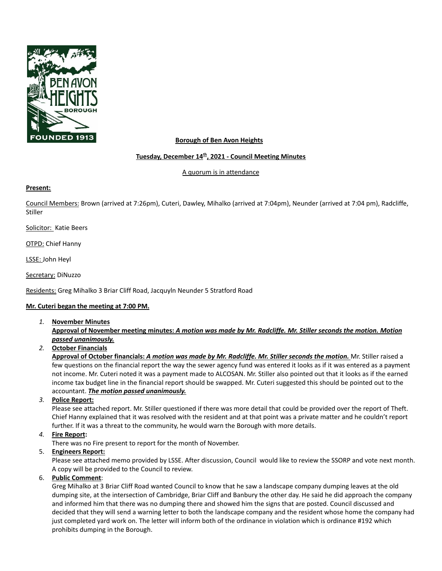

## **Borough of Ben Avon Heights**

## **Tuesday, December 14 th , 2021 - Council Meeting Minutes**

A quorum is in attendance

#### **Present:**

Council Members: Brown (arrived at 7:26pm), Cuteri, Dawley, Mihalko (arrived at 7:04pm), Neunder (arrived at 7:04 pm), Radcliffe, Stiller

Solicitor: Katie Beers

OTPD: Chief Hanny

LSSE: John Heyl

Secretary: DiNuzzo

Residents: Greg Mihalko 3 Briar Cliff Road, Jacquyln Neunder 5 Stratford Road

## **Mr. Cuteri began the meeting at 7:00 PM.**

*1.* **November Minutes**

Approval of November meeting minutes: A motion was made by Mr. Radcliffe. Mr. Stiller seconds the motion. Motion *passed unanimously.*

*2.* **October Financials**

Approval of October financials: A motion was made by Mr. Radcliffe. Mr. Stiller seconds the motion. Mr. Stiller raised a few questions on the financial report the way the sewer agency fund was entered it looks as if it was entered as a payment not income. Mr. Cuteri noted it was a payment made to ALCOSAN. Mr. Stiller also pointed out that it looks as if the earned income tax budget line in the financial report should be swapped. Mr. Cuteri suggested this should be pointed out to the accountant. *The motion passed unanimously.*

## *3.* **Police Report:**

Please see attached report. Mr. Stiller questioned if there was more detail that could be provided over the report of Theft. Chief Hanny explained that it was resolved with the resident and at that point was a private matter and he couldn't report further. If it was a threat to the community, he would warn the Borough with more details.

## *4.* **Fire Report:**

There was no Fire present to report for the month of November.

## 5. **Engineers Report:**

Please see attached memo provided by LSSE. After discussion, Council would like to review the SSORP and vote next month. A copy will be provided to the Council to review.

## 6. **Public Comment**:

Greg Mihalko at 3 Briar Cliff Road wanted Council to know that he saw a landscape company dumping leaves at the old dumping site, at the intersection of Cambridge, Briar Cliff and Banbury the other day. He said he did approach the company and informed him that there was no dumping there and showed him the signs that are posted. Council discussed and decided that they will send a warning letter to both the landscape company and the resident whose home the company had just completed yard work on. The letter will inform both of the ordinance in violation which is ordinance #192 which prohibits dumping in the Borough.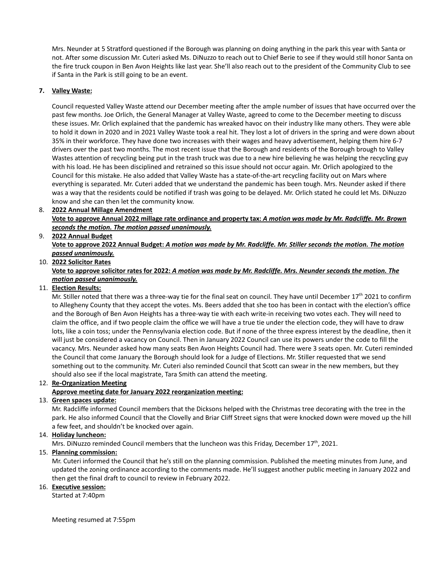Mrs. Neunder at 5 Stratford questioned if the Borough was planning on doing anything in the park this year with Santa or not. After some discussion Mr. Cuteri asked Ms. DiNuzzo to reach out to Chief Berie to see if they would still honor Santa on the fire truck coupon in Ben Avon Heights like last year. She'll also reach out to the president of the Community Club to see if Santa in the Park is still going to be an event.

#### **7. Valley Waste:**

Council requested Valley Waste attend our December meeting after the ample number of issues that have occurred over the past few months. Joe Orlich, the General Manager at Valley Waste, agreed to come to the December meeting to discuss these issues. Mr. Orlich explained that the pandemic has wreaked havoc on their industry like many others. They were able to hold it down in 2020 and in 2021 Valley Waste took a real hit. They lost a lot of drivers in the spring and were down about 35% in their workforce. They have done two increases with their wages and heavy advertisement, helping them hire 6-7 drivers over the past two months. The most recent issue that the Borough and residents of the Borough brough to Valley Wastes attention of recycling being put in the trash truck was due to a new hire believing he was helping the recycling guy with his load. He has been disciplined and retrained so this issue should not occur again. Mr. Orlich apologized to the Council for this mistake. He also added that Valley Waste has a state-of-the-art recycling facility out on Mars where everything is separated. Mr. Cuteri added that we understand the pandemic has been tough. Mrs. Neunder asked if there was a way that the residents could be notified if trash was going to be delayed. Mr. Orlich stated he could let Ms. DiNuzzo know and she can then let the community know.

#### 8. **2022 Annual Millage Amendment** Vote to approve Annual 2022 millage rate ordinance and property tax: A motion was made by Mr. Radcliffe. Mr. Brown *seconds the motion. The motion passed unanimously.* 9. **2022 Annual Budget**

# Vote to approve 2022 Annual Budget: A motion was made by Mr. Radcliffe. Mr. Stiller seconds the motion. The motion *passed unanimously.*

## 10. **2022 Solicitor Rates**

#### Vote to approve solicitor rates for 2022: A motion was made by Mr. Radcliffe. Mrs. Neunder seconds the motion. The *motion passed unanimously.*

## 11. **Election Results:**

Mr. Stiller noted that there was a three-way tie for the final seat on council. They have until December  $17<sup>th</sup>$  2021 to confirm to Allegheny County that they accept the votes. Ms. Beers added that she too has been in contact with the election's office and the Borough of Ben Avon Heights has a three-way tie with each write-in receiving two votes each. They will need to claim the office, and if two people claim the office we will have a true tie under the election code, they will have to draw lots, like a coin toss; under the Pennsylvania election code. But if none of the three express interest by the deadline, then it will just be considered a vacancy on Council. Then in January 2022 Council can use its powers under the code to fill the vacancy. Mrs. Neunder asked how many seats Ben Avon Heights Council had. There were 3 seats open. Mr. Cuteri reminded the Council that come January the Borough should look for a Judge of Elections. Mr. Stiller requested that we send something out to the community. Mr. Cuteri also reminded Council that Scott can swear in the new members, but they should also see if the local magistrate, Tara Smith can attend the meeting.

## 12. **Re-Organization Meeting**

## **Approve meeting date for January 2022 reorganization meeting:**

#### 13. **Green spaces update:**

Mr. Radcliffe informed Council members that the Dicksons helped with the Christmas tree decorating with the tree in the park. He also informed Council that the Clovelly and Briar Cliff Street signs that were knocked down were moved up the hill a few feet, and shouldn't be knocked over again.

#### 14. **Holiday luncheon:**

Mrs. DiNuzzo reminded Council members that the luncheon was this Friday, December  $17<sup>th</sup>$ , 2021.

## 15. **Planning commission:**

Mr. Cuteri informed the Council that he's still on the planning commission. Published the meeting minutes from June, and updated the zoning ordinance according to the comments made. He'll suggest another public meeting in January 2022 and then get the final draft to council to review in February 2022.

## 16. **Executive session:**

Started at 7:40pm

Meeting resumed at 7:55pm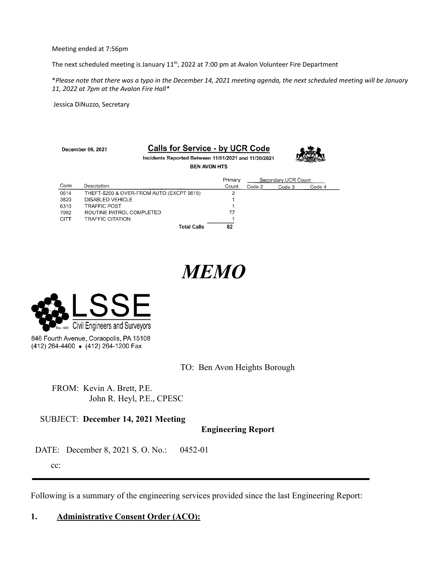Meeting ended at 7:56pm

The next scheduled meeting is January 11<sup>th</sup>, 2022 at 7:00 pm at Avalon Volunteer Fire Department

\*Please note that there was a typo in the December 14, 2021 meeting agenda, the next scheduled meeting will be January *11, 2022 at 7pm at the Avalon Fire Hall\**

Jessica DiNuzzo, Secretary

| December 06, 2021   |                          | <b>Calls for Service - by UCR Code</b>               |                |                     |        |        |  |
|---------------------|--------------------------|------------------------------------------------------|----------------|---------------------|--------|--------|--|
|                     |                          | Incidents Reported Between 11/01/2021 and 11/30/2021 |                |                     |        |        |  |
| <b>BEN AVON HTS</b> |                          |                                                      |                |                     |        |        |  |
|                     |                          |                                                      | Primary        | Secondary UCR Count |        |        |  |
| Code                | Description              |                                                      | Count          | Code 2              | Code 3 | Code 4 |  |
| 0614                |                          | THEFT-\$200 & OVER-FROM AUTO (EXCPT 0615)            | $\mathfrak{p}$ |                     |        |        |  |
| 3820                | DISABLED VEHICLE         |                                                      |                |                     |        |        |  |
| 6310                | <b>TRAFFIC POST</b>      |                                                      |                |                     |        |        |  |
| 7092                | ROUTINE PATROL COMPLETED |                                                      | 77             |                     |        |        |  |
| <b>CITT</b>         | <b>TRAFFIC CITATION</b>  |                                                      |                |                     |        |        |  |
|                     |                          | <b>Total Calls</b>                                   | 82             |                     |        |        |  |

# *MEMO*



(412) 264-4400 • (412) 264-1200 Fax

TO: Ben Avon Heights Borough

FROM: Kevin A. Brett, P.E. John R. Heyl, P.E., CPESC

## SUBJECT: **December 14, 2021 Meeting**

**Engineering Report**

DATE: December 8, 2021 S. O. No.: 0452-01

cc:

Following is a summary of the engineering services provided since the last Engineering Report:

# **1. Administrative Consent Order (ACO):**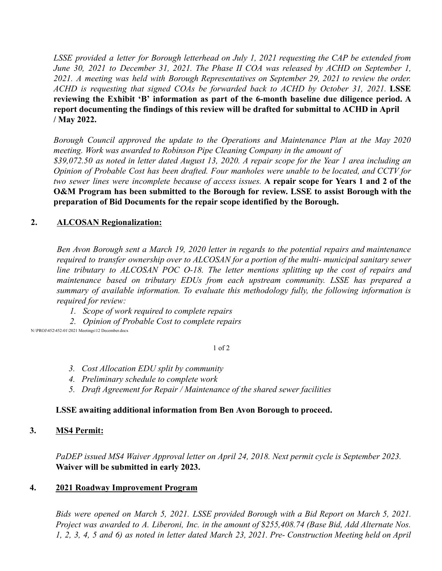*LSSE provided a letter for Borough letterhead on July 1, 2021 requesting the CAP be extended from June 30, 2021 to December 31, 2021. The Phase II COA was released by ACHD on September 1, 2021. A meeting was held with Borough Representatives on September 29, 2021 to review the order. ACHD is requesting that signed COAs be forwarded back to ACHD by October 31, 2021.* **LSSE reviewing the Exhibit 'B' information as part of the 6-month baseline due diligence period. A report documenting the findings of this review will be drafted for submittal to ACHD in April / May 2022.**

*Borough Council approved the update to the Operations and Maintenance Plan at the May 2020 meeting. Work was awarded to Robinson Pipe Cleaning Company in the amount of* \$39,072.50 as noted in letter dated August 13, 2020. A repair scope for the Year 1 area including an *Opinion of Probable Cost has been drafted. Four manholes were unable to be located, and CCTV for* two sewer lines were incomplete because of access issues. A repair scope for Years 1 and 2 of the **O&M Program has been submitted to the Borough for review. LSSE to assist Borough with the preparation of Bid Documents for the repair scope identified by the Borough.**

# **2. ALCOSAN Regionalization:**

*Ben Avon Borough sent a March 19, 2020 letter in regards to the potential repairs and maintenance required to transfer ownership over to ALCOSAN for a portion of the multi- municipal sanitary sewer line tributary to ALCOSAN POC O-18. The letter mentions splitting up the cost of repairs and maintenance based on tributary EDUs from each upstream community. LSSE has prepared a summary of available information. To evaluate this methodology fully, the following information is required for review:*

*1. Scope of work required to complete repairs*

*2. Opinion of Probable Cost to complete repairs*

N:\PROJ\452\452-01\2021 Meetings\12 December.docx

## 1 of 2

- *3. Cost Allocation EDU split by community*
- *4. Preliminary schedule to complete work*
- *5. Draft Agreement for Repair / Maintenance of the shared sewer facilities*

# **LSSE awaiting additional information from Ben Avon Borough to proceed.**

# **3. MS4 Permit:**

*PaDEP issued MS4 Waiver Approval letter on April 24, 2018. Next permit cycle is September 2023.* **Waiver will be submitted in early 2023.**

# **4. 2021 Roadway Improvement Program**

*Bids were opened on March 5, 2021. LSSE provided Borough with a Bid Report on March 5, 2021. Project was awarded to A. Liberoni, Inc. in the amount of \$255,408.74 (Base Bid, Add Alternate Nos.* 1, 2, 3, 4, 5 and 6) as noted in letter dated March 23, 2021. Pre- Construction Meeting held on April